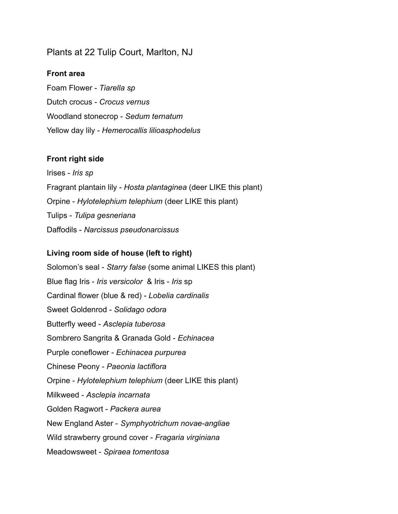# Plants at 22 Tulip Court, Marlton, NJ

#### **Front area**

Foam Flower - *Tiarella sp* Dutch crocus - *Crocus vernus* Woodland stonecrop - *Sedum ternatum* Yellow day lily - *Hemerocallis lilioasphodelus*

#### **Front right side**

Irises - *Iris sp* Fragrant plantain lily - *Hosta plantaginea* (deer LIKE this plant) Orpine - *Hylotelephium telephium* (deer LIKE this plant) Tulips - *Tulipa gesneriana* Daffodils - *Narcissus pseudonarcissus*

## **Living room side of house (left to right)**

Solomon's seal - *Starry false* (some animal LIKES this plant) Blue flag Iris - *Iris versicolor* & Iris - *Iris* sp Cardinal flower (blue & red) - *Lobelia cardinalis* Sweet Goldenrod - *Solidago odora* Butterfly weed - *Asclepia tuberosa* Sombrero Sangrita & Granada Gold - *Echinacea* Purple coneflower - *Echinacea purpurea* Chinese Peony - *Paeonia lactiflora* Orpine - *Hylotelephium telephium* (deer LIKE this plant) Milkweed - *Asclepia incarnata* Golden Ragwort - *Packera aurea* New England Aster - *Symphyotrichum novae-angliae* Wild strawberry ground cover - *Fragaria virginiana* Meadowsweet - *Spiraea tomentosa*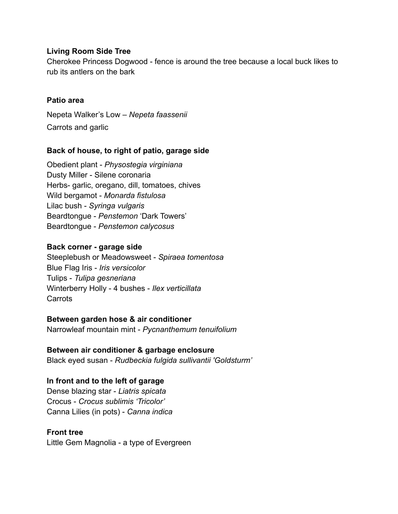## **Living Room Side Tree**

Cherokee Princess Dogwood - fence is around the tree because a local buck likes to rub its antlers on the bark

## **Patio area**

Nepeta Walker's Low – *Nepeta faassenii* Carrots and garlic

#### **Back of house, to right of patio, garage side**

Obedient plant - *Physostegia virginiana* Dusty Miller - Silene coronaria Herbs- garlic, oregano, dill, tomatoes, chives Wild bergamot - *Monarda fistulosa* Lilac bush - *Syringa vulgaris* Beardtongue - *Penstemon* 'Dark Towers' Beardtongue - *Penstemon calycosus*

#### **Back corner - garage side**

Steeplebush or Meadowsweet - *Spiraea tomentosa* Blue Flag Iris - *Iris versicolor* Tulips - *Tulipa gesneriana* Winterberry Holly - 4 bushes - *Ilex verticillata* Carrots

#### **Between garden hose & air conditioner**

Narrowleaf mountain mint - *Pycnanthemum tenuifolium*

## **Between air conditioner & garbage enclosure**

Black eyed susan - *Rudbeckia fulgida sullivantii 'Goldsturm'*

#### **In front and to the left of garage**

Dense blazing star - *Liatris spicata* Crocus - *Crocus sublimis 'Tricolor'* Canna Lilies (in pots) - *Canna indica*

#### **Front tree**

Little Gem Magnolia - a type of Evergreen